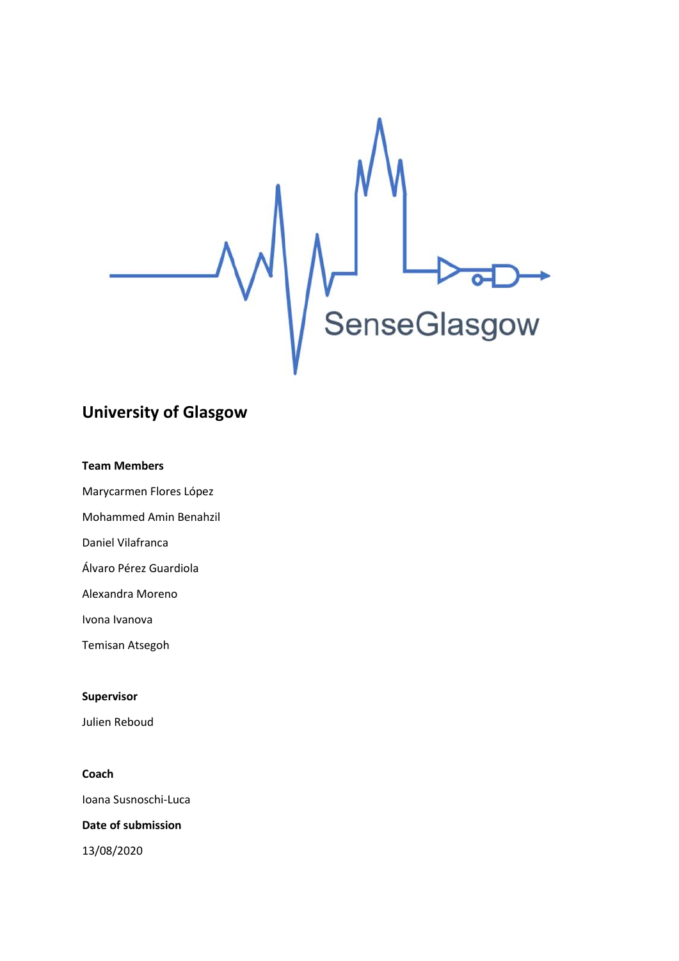

# **University of Glasgow**

# **Team Members**

Marycarmen Flores López

Mohammed Amin Benahzil

Daniel Vilafranca

Álvaro Pérez Guardiola

Alexandra Moreno

Ivona Ivanova

Temisan Atsegoh

# **Supervisor**

Julien Reboud

# **Coach**

Ioana Susnoschi-Luca

# **Date of submission**

13/08/2020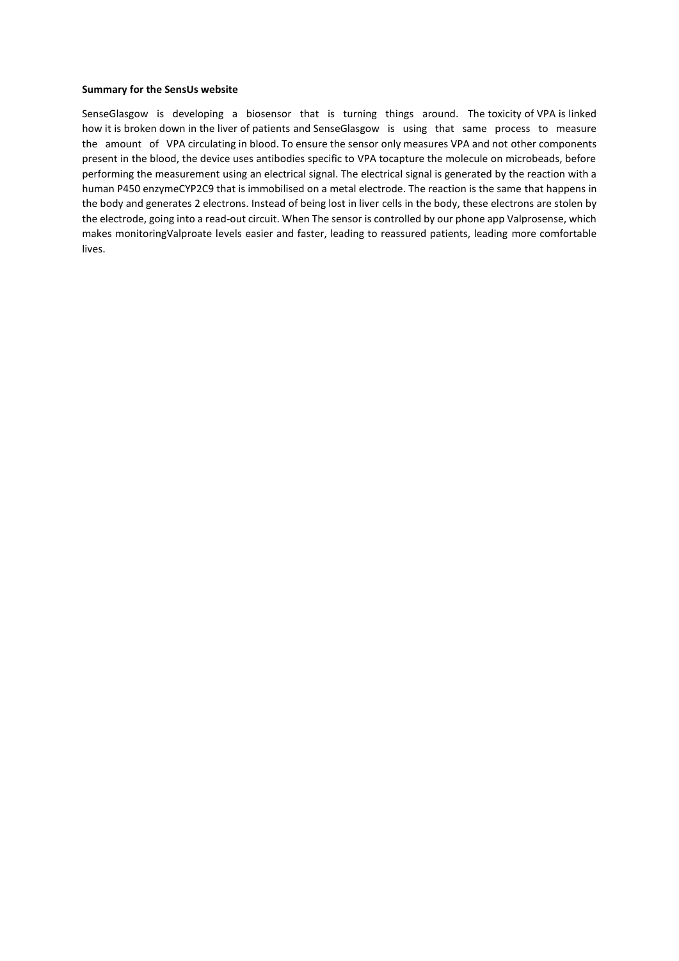#### **Summary for the SensUs website**

SenseGlasgow is developing a biosensor that is turning things around. The toxicity of VPA is linked how it is broken down in the liver of patients and SenseGlasgow is using that same process to measure the amount of VPA circulating in blood. To ensure the sensor only measures VPA and not other components present in the blood, the device uses antibodies specific to VPA tocapture the molecule on microbeads, before performing the measurement using an electrical signal. The electrical signal is generated by the reaction with a human P450 enzymeCYP2C9 that is immobilised on a metal electrode. The reaction is the same that happens in the body and generates 2 electrons. Instead of being lost in liver cells in the body, these electrons are stolen by the electrode, going into a read-out circuit. When The sensor is controlled by our phone app Valprosense, which makes monitoringValproate levels easier and faster, leading to reassured patients, leading more comfortable lives.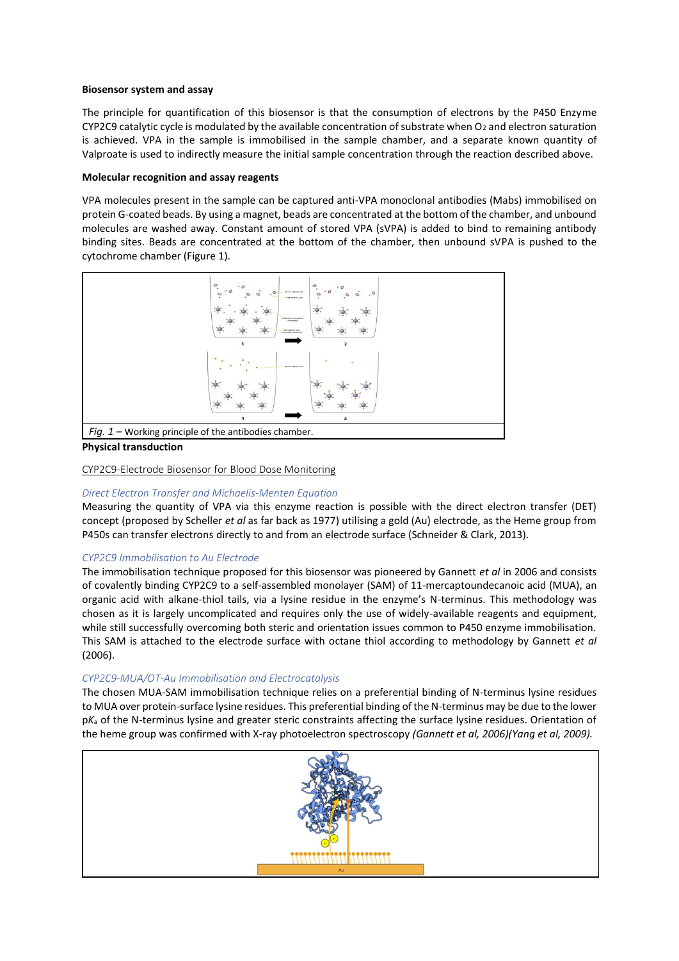#### **Biosensor system and assay**

The principle for quantification of this biosensor is that the consumption of electrons by the P450 Enzyme CYP2C9 catalytic cycle is modulated by the available concentration of substrate when  $O_2$  and electron saturation is achieved. VPA in the sample is immobilised in the sample chamber, and a separate known quantity of Valproate is used to indirectly measure the initial sample concentration through the reaction described above.

#### **Molecular recognition and assay reagents**

VPA molecules present in the sample can be captured anti-VPA monoclonal antibodies (Mabs) immobilised on protein G-coated beads. By using a magnet, beads are concentrated at the bottom of the chamber, and unbound molecules are washed away. Constant amount of stored VPA (sVPA) is added to bind to remaining antibody binding sites. Beads are concentrated at the bottom of the chamber, then unbound sVPA is pushed to the cytochrome chamber (Figure 1).



**Physical transduction**

#### CYP2C9-Electrode Biosensor for Blood Dose Monitoring

# *Direct Electron Transfer and Michaelis-Menten Equation*

Measuring the quantity of VPA via this enzyme reaction is possible with the direct electron transfer (DET) concept (proposed by Scheller *et al* as far back as 1977) utilising a gold (Au) electrode, as the Heme group from P450s can transfer electrons directly to and from an electrode surface (Schneider & Clark, 2013).

# *CYP2C9 Immobilisation to Au Electrode*

The immobilisation technique proposed for this biosensor was pioneered by Gannett *et al* in 2006 and consists of covalently binding CYP2C9 to a self-assembled monolayer (SAM) of 11-mercaptoundecanoic acid (MUA), an organic acid with alkane-thiol tails, via a lysine residue in the enzyme's N-terminus. This methodology was chosen as it is largely uncomplicated and requires only the use of widely-available reagents and equipment, while still successfully overcoming both steric and orientation issues common to P450 enzyme immobilisation. This SAM is attached to the electrode surface with octane thiol according to methodology by Gannett *et al* (2006).

# *CYP2C9-MUA/OT-Au Immobilisation and Electrocatalysis*

The chosen MUA-SAM immobilisation technique relies on a preferential binding of N-terminus lysine residues to MUA over protein-surface lysine residues. This preferential binding of the N-terminus may be due to the lower p*K*<sup>a</sup> of the N-terminus lysine and greater steric constraints affecting the surface lysine residues. Orientation of the heme group was confirmed with X-ray photoelectron spectroscopy *(Gannett et al, 2006)(Yang et al, 2009).*

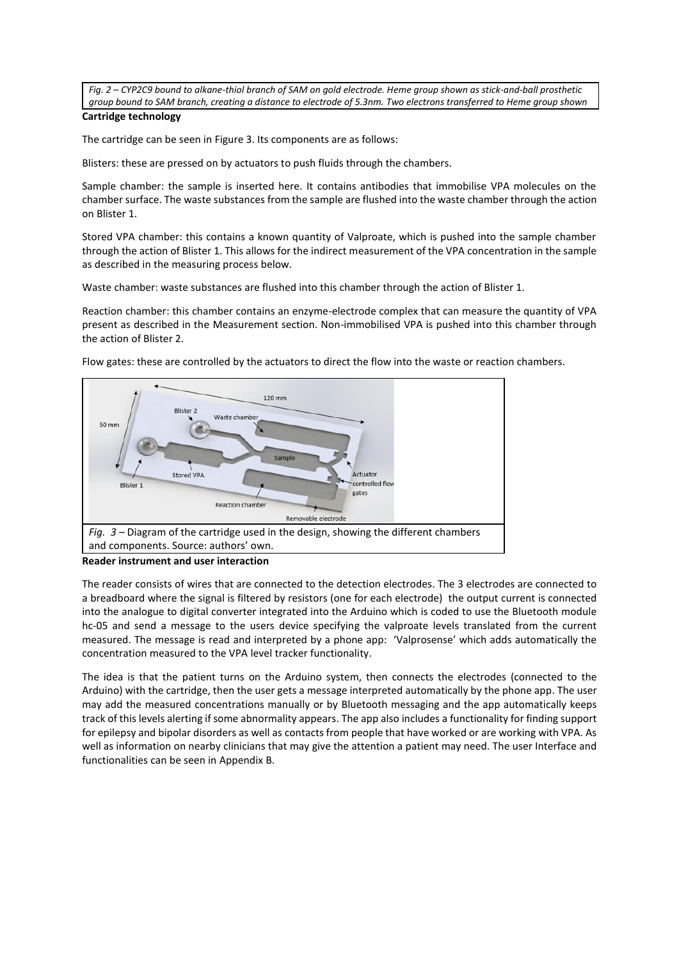*Fig. 2 – CYP2C9 bound to alkane-thiol branch of SAM on gold electrode. Heme group shown as stick-and-ball prosthetic group bound to SAM branch, creating a distance to electrode of 5.3nm. Two electrons transferred to Heme group shown*

# **Cartridge technology**

The cartridge can be seen in Figure 3. Its components are as follows:

Blisters: these are pressed on by actuators to push fluids through the chambers.

Sample chamber: the sample is inserted here. It contains antibodies that immobilise VPA molecules on the chamber surface. The waste substances from the sample are flushed into the waste chamber through the action on Blister 1.

Stored VPA chamber: this contains a known quantity of Valproate, which is pushed into the sample chamber through the action of Blister 1. This allows for the indirect measurement of the VPA concentration in the sample as described in the measuring process below.

Waste chamber: waste substances are flushed into this chamber through the action of Blister 1.

Reaction chamber: this chamber contains an enzyme-electrode complex that can measure the quantity of VPA present as described in the Measurement section. Non-immobilised VPA is pushed into this chamber through the action of Blister 2.



Flow gates: these are controlled by the actuators to direct the flow into the waste or reaction chambers.

**Reader instrument and user interaction**

The reader consists of wires that are connected to the detection electrodes. The 3 electrodes are connected to a breadboard where the signal is filtered by resistors (one for each electrode) the output current is connected into the analogue to digital converter integrated into the Arduino which is coded to use the Bluetooth module hc-05 and send a message to the users device specifying the valproate levels translated from the current measured. The message is read and interpreted by a phone app: 'Valprosense' which adds automatically the concentration measured to the VPA level tracker functionality.

The idea is that the patient turns on the Arduino system, then connects the electrodes (connected to the Arduino) with the cartridge, then the user gets a message interpreted automatically by the phone app. The user may add the measured concentrations manually or by Bluetooth messaging and the app automatically keeps track of this levels alerting if some abnormality appears. The app also includes a functionality for finding support for epilepsy and bipolar disorders as well as contacts from people that have worked or are working with VPA. As well as information on nearby clinicians that may give the attention a patient may need. The user Interface and functionalities can be seen in Appendix B.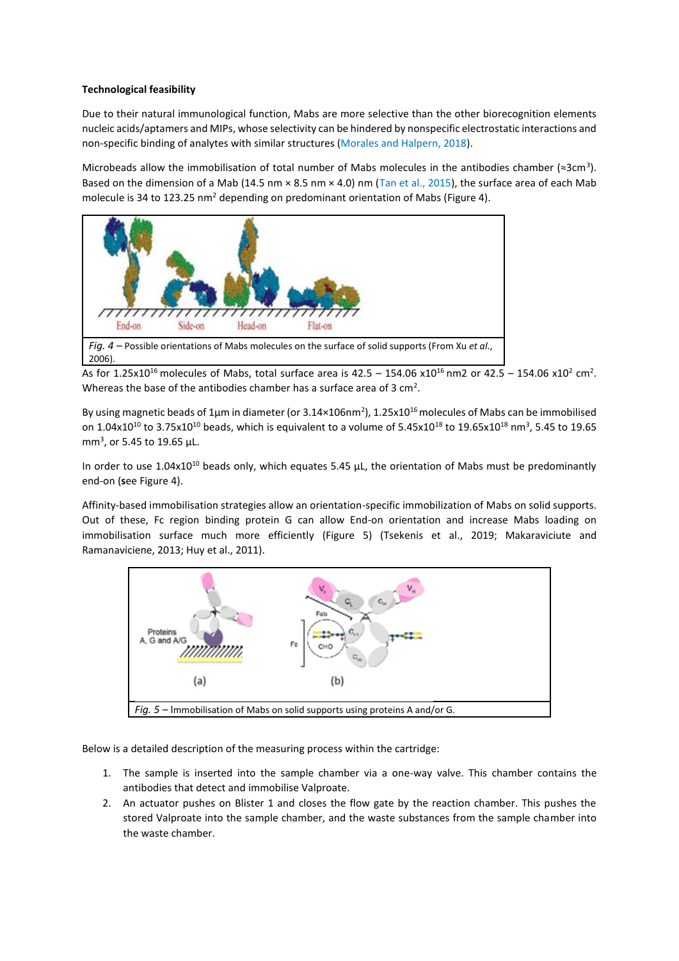# **Technological feasibility**

Due to their natural immunological function, Mabs are more selective than the other biorecognition elements nucleic acids/aptamers and MIPs, whose selectivity can be hindered by nonspecific electrostatic interactions and non-specific binding of analytes with similar structures (Morales and Halpern, 2018).

Microbeads allow the immobilisation of total number of Mabs molecules in the antibodies chamber ( $\approx$ 3cm<sup>3</sup>). Based on the dimension of a Mab (14.5 nm × 8.5 nm × 4.0) nm (Tan et al., 2015), the surface area of each Mab molecule is 34 to 123.25 nm<sup>2</sup> depending on predominant orientation of Mabs (Figure 4).



As for 1.25x10<sup>16</sup> molecules of Mabs, total surface area is  $42.5 - 154.06$  x10<sup>16</sup> nm2 or  $42.5 - 154.06$  x10<sup>2</sup> cm<sup>2</sup>. Whereas the base of the antibodies chamber has a surface area of 3  $\text{cm}^2$ .

By using magnetic beads of  $1\mu$ m in diameter (or 3.14×106nm<sup>2</sup>), 1.25x10<sup>16</sup> molecules of Mabs can be immobilised on 1.04x10<sup>10</sup> to 3.75x10<sup>10</sup> beads, which is equivalent to a volume of 5.45x10<sup>18</sup> to 19.65x10<sup>18</sup> nm<sup>3</sup>, 5.45 to 19.65 mm<sup>3</sup>, or 5.45 to 19.65  $\mu$ L.

In order to use  $1.04x10^{10}$  beads only, which equates 5.45  $\mu$ L, the orientation of Mabs must be predominantly end-on (**s**ee Figure 4).

Affinity-based immobilisation strategies allow an orientation-specific immobilization of Mabs on solid supports. Out of these, Fc region binding protein G can allow End-on orientation and increase Mabs loading on immobilisation surface much more efficiently (Figure 5) (Tsekenis et al., 2019; Makaraviciute and Ramanaviciene, 2013; Huy et al., 2011).



Below is a detailed description of the measuring process within the cartridge:

- 1. The sample is inserted into the sample chamber via a one-way valve. This chamber contains the antibodies that detect and immobilise Valproate.
- 2. An actuator pushes on Blister 1 and closes the flow gate by the reaction chamber. This pushes the stored Valproate into the sample chamber, and the waste substances from the sample chamber into the waste chamber.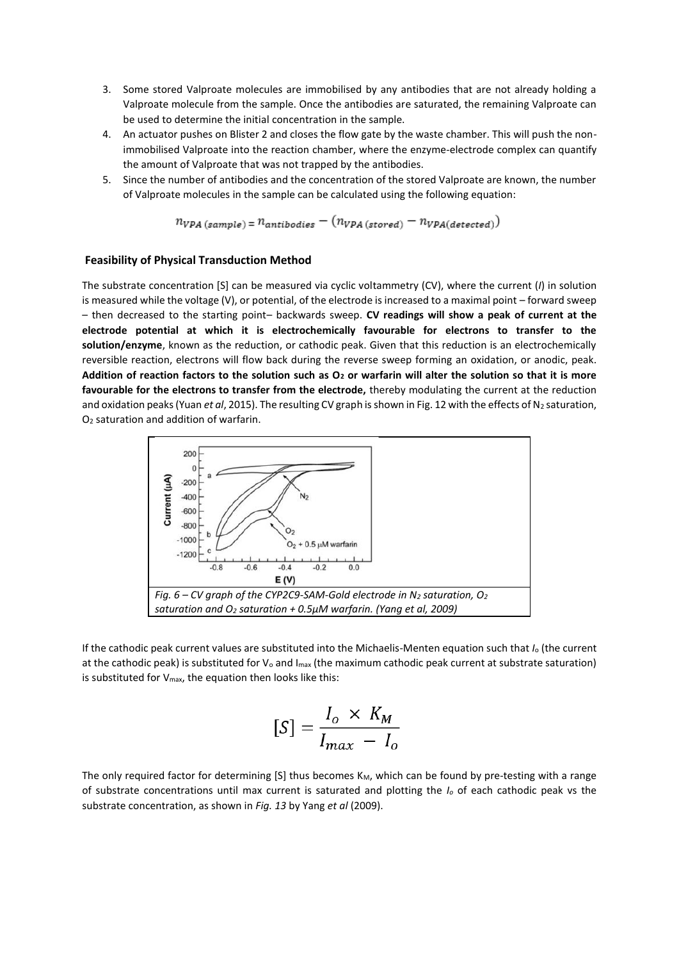- 3. Some stored Valproate molecules are immobilised by any antibodies that are not already holding a Valproate molecule from the sample. Once the antibodies are saturated, the remaining Valproate can be used to determine the initial concentration in the sample.
- 4. An actuator pushes on Blister 2 and closes the flow gate by the waste chamber. This will push the nonimmobilised Valproate into the reaction chamber, where the enzyme-electrode complex can quantify the amount of Valproate that was not trapped by the antibodies.
- 5. Since the number of antibodies and the concentration of the stored Valproate are known, the number of Valproate molecules in the sample can be calculated using the following equation:

$$
n_{VPA\ (sample)} = n_{antibodies} - (n_{VPA\ (stored)} - n_{VPA\ (detected)})
$$

#### **Feasibility of Physical Transduction Method**

The substrate concentration [S] can be measured via cyclic voltammetry (CV), where the current (*I*) in solution is measured while the voltage (V), or potential, of the electrode is increased to a maximal point – forward sweep – then decreased to the starting point– backwards sweep. **CV readings will show a peak of current at the electrode potential at which it is electrochemically favourable for electrons to transfer to the solution/enzyme**, known as the reduction, or cathodic peak. Given that this reduction is an electrochemically reversible reaction, electrons will flow back during the reverse sweep forming an oxidation, or anodic, peak. **Addition of reaction factors to the solution such as O<sup>2</sup> or warfarin will alter the solution so that it is more favourable for the electrons to transfer from the electrode,** thereby modulating the current at the reduction and oxidation peaks (Yuan *et al*, 2015). The resulting CV graph is shown in Fig. 12 with the effects of N<sub>2</sub> saturation, O<sup>2</sup> saturation and addition of warfarin.



If the cathodic peak current values are substituted into the Michaelis-Menten equation such that *I*<sup>o</sup> (the current at the cathodic peak) is substituted for  $V_0$  and  $I_{\text{max}}$  (the maximum cathodic peak current at substrate saturation) is substituted for Vmax, the equation then looks like this:

$$
[S] = \frac{I_o \times K_M}{I_{max} - I_o}
$$

The only required factor for determining [S] thus becomes  $K_M$ , which can be found by pre-testing with a range of substrate concentrations until max current is saturated and plotting the *I<sup>o</sup>* of each cathodic peak vs the substrate concentration, as shown in *Fig. 13* by Yang *et al* (2009).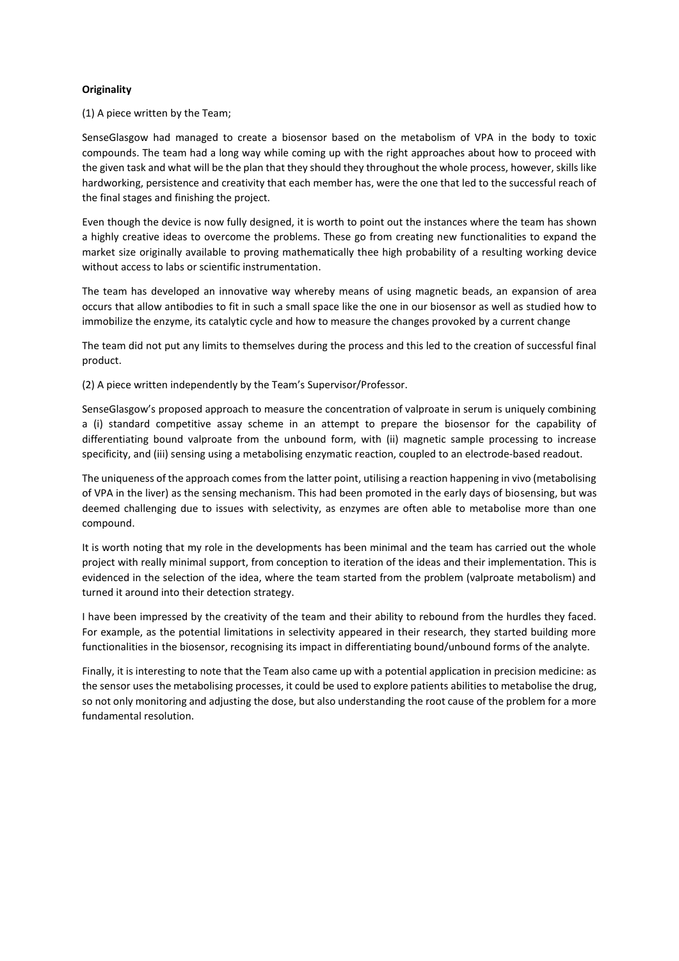# **Originality**

(1) A piece written by the Team;

SenseGlasgow had managed to create a biosensor based on the metabolism of VPA in the body to toxic compounds. The team had a long way while coming up with the right approaches about how to proceed with the given task and what will be the plan that they should they throughout the whole process, however, skills like hardworking, persistence and creativity that each member has, were the one that led to the successful reach of the final stages and finishing the project.

Even though the device is now fully designed, it is worth to point out the instances where the team has shown a highly creative ideas to overcome the problems. These go from creating new functionalities to expand the market size originally available to proving mathematically thee high probability of a resulting working device without access to labs or scientific instrumentation.

The team has developed an innovative way whereby means of using magnetic beads, an expansion of area occurs that allow antibodies to fit in such a small space like the one in our biosensor as well as studied how to immobilize the enzyme, its catalytic cycle and how to measure the changes provoked by a current change

The team did not put any limits to themselves during the process and this led to the creation of successful final product.

(2) A piece written independently by the Team's Supervisor/Professor.

SenseGlasgow's proposed approach to measure the concentration of valproate in serum is uniquely combining a (i) standard competitive assay scheme in an attempt to prepare the biosensor for the capability of differentiating bound valproate from the unbound form, with (ii) magnetic sample processing to increase specificity, and (iii) sensing using a metabolising enzymatic reaction, coupled to an electrode-based readout.

The uniqueness of the approach comes from the latter point, utilising a reaction happening in vivo (metabolising of VPA in the liver) as the sensing mechanism. This had been promoted in the early days of biosensing, but was deemed challenging due to issues with selectivity, as enzymes are often able to metabolise more than one compound.

It is worth noting that my role in the developments has been minimal and the team has carried out the whole project with really minimal support, from conception to iteration of the ideas and their implementation. This is evidenced in the selection of the idea, where the team started from the problem (valproate metabolism) and turned it around into their detection strategy.

I have been impressed by the creativity of the team and their ability to rebound from the hurdles they faced. For example, as the potential limitations in selectivity appeared in their research, they started building more functionalities in the biosensor, recognising its impact in differentiating bound/unbound forms of the analyte.

Finally, it is interesting to note that the Team also came up with a potential application in precision medicine: as the sensor uses the metabolising processes, it could be used to explore patients abilities to metabolise the drug, so not only monitoring and adjusting the dose, but also understanding the root cause of the problem for a more fundamental resolution.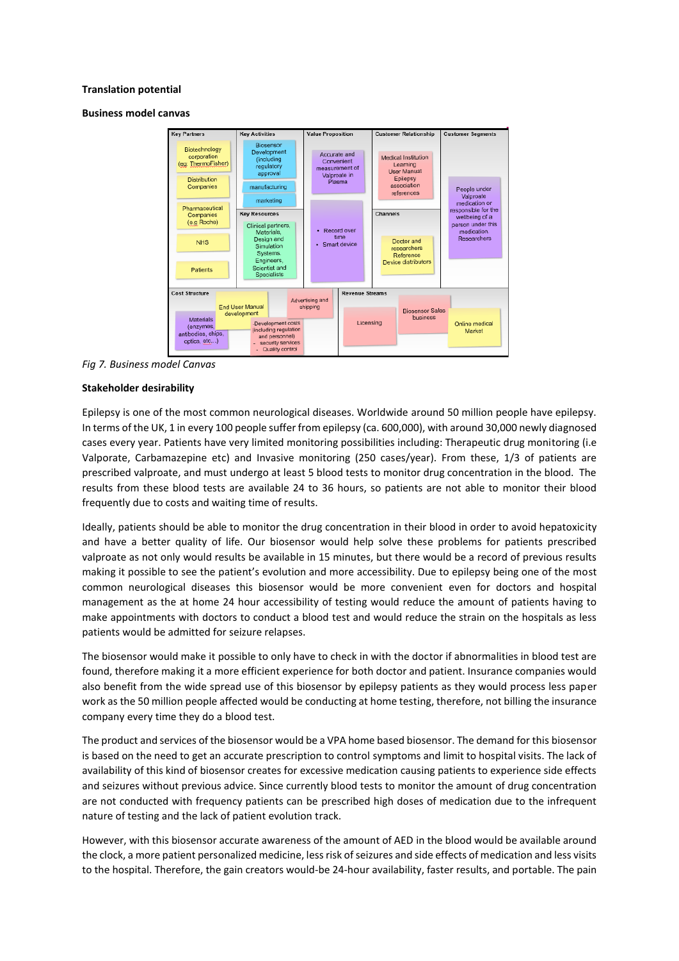#### **Translation potential**

#### **Business model canvas**



*Fig 7. Business model Canvas*

#### **Stakeholder desirability**

Epilepsy is one of the most common neurological diseases. Worldwide around 50 million people have epilepsy. In terms of the UK, 1 in every 100 people suffer from epilepsy (ca. 600,000), with around 30,000 newly diagnosed cases every year. Patients have very limited monitoring possibilities including: Therapeutic drug monitoring (i.e Valporate, Carbamazepine etc) and Invasive monitoring (250 cases/year). From these, 1/3 of patients are prescribed valproate, and must undergo at least 5 blood tests to monitor drug concentration in the blood. The results from these blood tests are available 24 to 36 hours, so patients are not able to monitor their blood frequently due to costs and waiting time of results.

Ideally, patients should be able to monitor the drug concentration in their blood in order to avoid hepatoxicity and have a better quality of life. Our biosensor would help solve these problems for patients prescribed valproate as not only would results be available in 15 minutes, but there would be a record of previous results making it possible to see the patient's evolution and more accessibility. Due to epilepsy being one of the most common neurological diseases this biosensor would be more convenient even for doctors and hospital management as the at home 24 hour accessibility of testing would reduce the amount of patients having to make appointments with doctors to conduct a blood test and would reduce the strain on the hospitals as less patients would be admitted for seizure relapses.

The biosensor would make it possible to only have to check in with the doctor if abnormalities in blood test are found, therefore making it a more efficient experience for both doctor and patient. Insurance companies would also benefit from the wide spread use of this biosensor by epilepsy patients as they would process less paper work as the 50 million people affected would be conducting at home testing, therefore, not billing the insurance company every time they do a blood test.

The product and services of the biosensor would be a VPA home based biosensor. The demand for this biosensor is based on the need to get an accurate prescription to control symptoms and limit to hospital visits. The lack of availability of this kind of biosensor creates for excessive medication causing patients to experience side effects and seizures without previous advice. Since currently blood tests to monitor the amount of drug concentration are not conducted with frequency patients can be prescribed high doses of medication due to the infrequent nature of testing and the lack of patient evolution track.

However, with this biosensor accurate awareness of the amount of AED in the blood would be available around the clock, a more patient personalized medicine, less risk of seizures and side effects of medication and less visits to the hospital. Therefore, the gain creators would-be 24-hour availability, faster results, and portable. The pain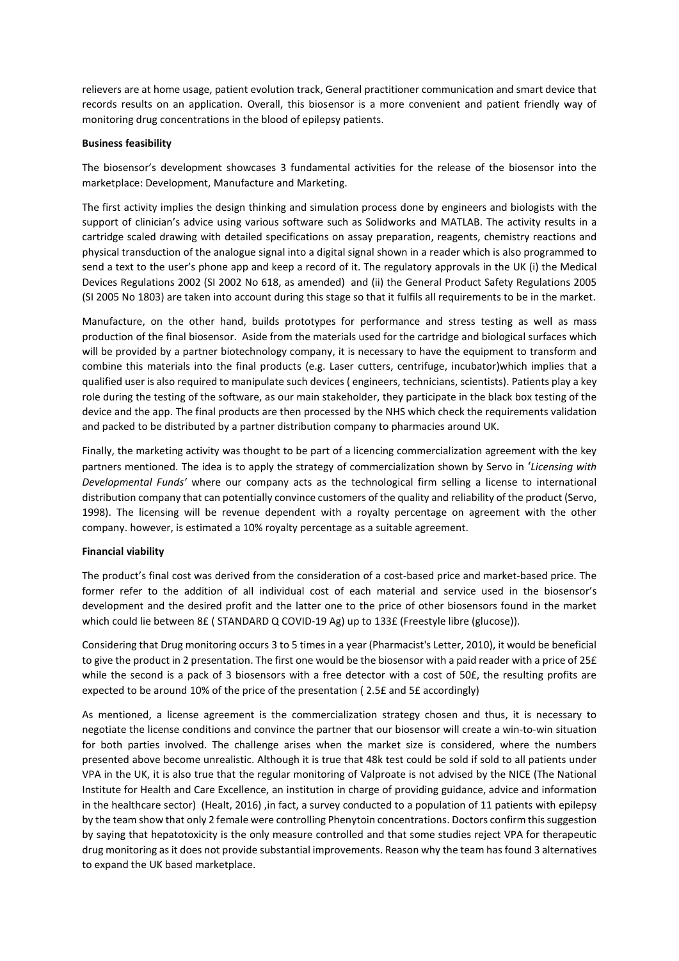relievers are at home usage, patient evolution track, General practitioner communication and smart device that records results on an application. Overall, this biosensor is a more convenient and patient friendly way of monitoring drug concentrations in the blood of epilepsy patients.

# **Business feasibility**

The biosensor's development showcases 3 fundamental activities for the release of the biosensor into the marketplace: Development, Manufacture and Marketing.

The first activity implies the design thinking and simulation process done by engineers and biologists with the support of clinician's advice using various software such as Solidworks and MATLAB. The activity results in a cartridge scaled drawing with detailed specifications on assay preparation, reagents, chemistry reactions and physical transduction of the analogue signal into a digital signal shown in a reader which is also programmed to send a text to the user's phone app and keep a record of it. The regulatory approvals in the UK (i) the Medical Devices Regulations 2002 (SI 2002 No 618, as amended) and (ii) the General Product Safety Regulations 2005 (SI 2005 No 1803) are taken into account during this stage so that it fulfils all requirements to be in the market.

Manufacture, on the other hand, builds prototypes for performance and stress testing as well as mass production of the final biosensor. Aside from the materials used for the cartridge and biological surfaces which will be provided by a partner biotechnology company, it is necessary to have the equipment to transform and combine this materials into the final products (e.g. Laser cutters, centrifuge, incubator)which implies that a qualified user is also required to manipulate such devices ( engineers, technicians, scientists). Patients play a key role during the testing of the software, as our main stakeholder, they participate in the black box testing of the device and the app. The final products are then processed by the NHS which check the requirements validation and packed to be distributed by a partner distribution company to pharmacies around UK.

Finally, the marketing activity was thought to be part of a licencing commercialization agreement with the key partners mentioned. The idea is to apply the strategy of commercialization shown by Servo in '*Licensing with Developmental Funds'* where our company acts as the technological firm selling a license to international distribution company that can potentially convince customers of the quality and reliability of the product (Servo, 1998). The licensing will be revenue dependent with a royalty percentage on agreement with the other company. however, is estimated a 10% royalty percentage as a suitable agreement.

# **Financial viability**

The product's final cost was derived from the consideration of a cost-based price and market-based price. The former refer to the addition of all individual cost of each material and service used in the biosensor's development and the desired profit and the latter one to the price of other biosensors found in the market which could lie between 8£ ( STANDARD Q COVID-19 Ag) up to 133£ (Freestyle libre (glucose)).

Considering that Drug monitoring occurs 3 to 5 times in a year (Pharmacist's Letter, 2010), it would be beneficial to give the product in 2 presentation. The first one would be the biosensor with a paid reader with a price of 25£ while the second is a pack of 3 biosensors with a free detector with a cost of 50£, the resulting profits are expected to be around 10% of the price of the presentation ( 2.5£ and 5£ accordingly)

As mentioned, a license agreement is the commercialization strategy chosen and thus, it is necessary to negotiate the license conditions and convince the partner that our biosensor will create a win-to-win situation for both parties involved. The challenge arises when the market size is considered, where the numbers presented above become unrealistic. Although it is true that 48k test could be sold if sold to all patients under VPA in the UK, it is also true that the regular monitoring of Valproate is not advised by the NICE (The National Institute for Health and Care Excellence, an institution in charge of providing guidance, advice and information in the healthcare sector) (Healt, 2016) ,in fact, a survey conducted to a population of 11 patients with epilepsy by the team show that only 2 female were controlling Phenytoin concentrations. Doctors confirm this suggestion by saying that hepatotoxicity is the only measure controlled and that some studies reject VPA for therapeutic drug monitoring as it does not provide substantial improvements. Reason why the team has found 3 alternatives to expand the UK based marketplace.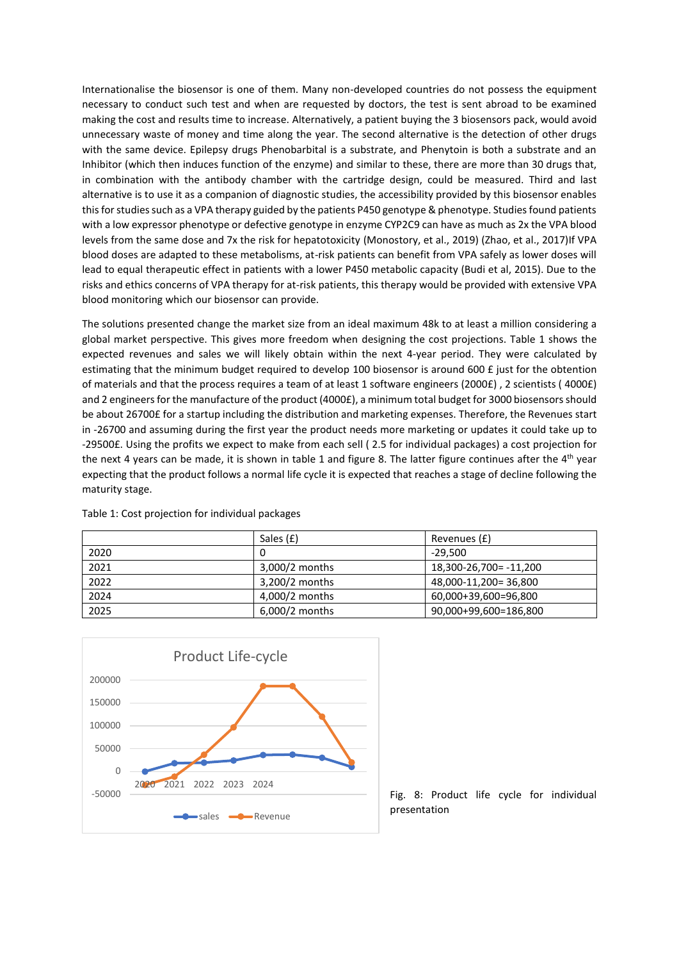Internationalise the biosensor is one of them. Many non-developed countries do not possess the equipment necessary to conduct such test and when are requested by doctors, the test is sent abroad to be examined making the cost and results time to increase. Alternatively, a patient buying the 3 biosensors pack, would avoid unnecessary waste of money and time along the year. The second alternative is the detection of other drugs with the same device. Epilepsy drugs Phenobarbital is a substrate, and Phenytoin is both a substrate and an Inhibitor (which then induces function of the enzyme) and similar to these, there are more than 30 drugs that, in combination with the antibody chamber with the cartridge design, could be measured. Third and last alternative is to use it as a companion of diagnostic studies, the accessibility provided by this biosensor enables this for studies such as a VPA therapy guided by the patients P450 genotype & phenotype. Studies found patients with a low expressor phenotype or defective genotype in enzyme CYP2C9 can have as much as 2x the VPA blood levels from the same dose and 7x the risk for hepatotoxicity (Monostory, et al., 2019) (Zhao, et al., 2017)If VPA blood doses are adapted to these metabolisms, at-risk patients can benefit from VPA safely as lower doses will lead to equal therapeutic effect in patients with a lower P450 metabolic capacity (Budi et al, 2015). Due to the risks and ethics concerns of VPA therapy for at-risk patients, this therapy would be provided with extensive VPA blood monitoring which our biosensor can provide.

The solutions presented change the market size from an ideal maximum 48k to at least a million considering a global market perspective. This gives more freedom when designing the cost projections. Table 1 shows the expected revenues and sales we will likely obtain within the next 4-year period. They were calculated by estimating that the minimum budget required to develop 100 biosensor is around 600 £ just for the obtention of materials and that the process requires a team of at least 1 software engineers (2000£) , 2 scientists ( 4000£) and 2 engineers for the manufacture of the product (4000£), a minimum total budget for 3000 biosensors should be about 26700£ for a startup including the distribution and marketing expenses. Therefore, the Revenues start in -26700 and assuming during the first year the product needs more marketing or updates it could take up to -29500£. Using the profits we expect to make from each sell ( 2.5 for individual packages) a cost projection for the next 4 years can be made, it is shown in table 1 and figure 8. The latter figure continues after the 4<sup>th</sup> year expecting that the product follows a normal life cycle it is expected that reaches a stage of decline following the maturity stage.

|      | Sales (£)      | Revenues (£)           |
|------|----------------|------------------------|
| 2020 |                | $-29.500$              |
| 2021 | 3,000/2 months | 18,300-26,700= -11,200 |
| 2022 | 3.200/2 months | 48,000-11,200=36,800   |
| 2024 | 4,000/2 months | 60,000+39,600=96,800   |
| 2025 | 6,000/2 months | 90,000+99,600=186,800  |



Table 1: Cost projection for individual packages

Fig. 8: Product life cycle for individual presentation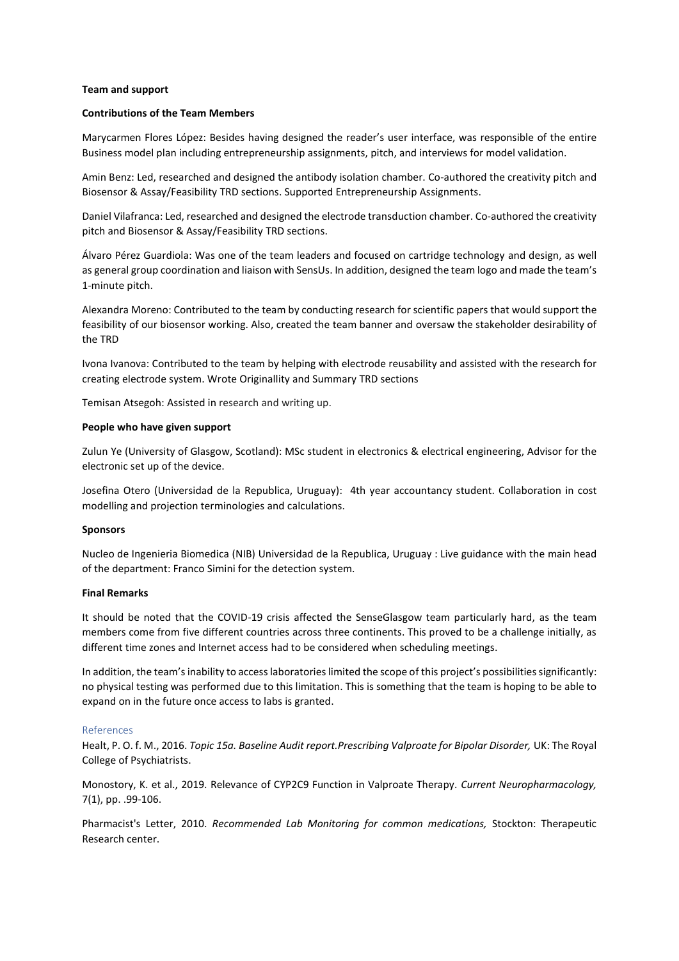#### **Team and support**

#### **Contributions of the Team Members**

Marycarmen Flores López: Besides having designed the reader's user interface, was responsible of the entire Business model plan including entrepreneurship assignments, pitch, and interviews for model validation.

Amin Benz: Led, researched and designed the antibody isolation chamber. Co-authored the creativity pitch and Biosensor & Assay/Feasibility TRD sections. Supported Entrepreneurship Assignments.

Daniel Vilafranca: Led, researched and designed the electrode transduction chamber. Co-authored the creativity pitch and Biosensor & Assay/Feasibility TRD sections.

Álvaro Pérez Guardiola: Was one of the team leaders and focused on cartridge technology and design, as well as general group coordination and liaison with SensUs. In addition, designed the team logo and made the team's 1-minute pitch.

Alexandra Moreno: Contributed to the team by conducting research for scientific papers that would support the feasibility of our biosensor working. Also, created the team banner and oversaw the stakeholder desirability of the TRD

Ivona Ivanova: Contributed to the team by helping with electrode reusability and assisted with the research for creating electrode system. Wrote Originallity and Summary TRD sections

Temisan Atsegoh: Assisted in research and writing up.

#### **People who have given support**

Zulun Ye (University of Glasgow, Scotland): MSc student in electronics & electrical engineering, Advisor for the electronic set up of the device.

Josefina Otero (Universidad de la Republica, Uruguay): 4th year accountancy student. Collaboration in cost modelling and projection terminologies and calculations.

#### **Sponsors**

Nucleo de Ingenieria Biomedica (NIB) Universidad de la Republica, Uruguay : Live guidance with the main head of the department: Franco Simini for the detection system.

#### **Final Remarks**

It should be noted that the COVID-19 crisis affected the SenseGlasgow team particularly hard, as the team members come from five different countries across three continents. This proved to be a challenge initially, as different time zones and Internet access had to be considered when scheduling meetings.

In addition, the team's inability to access laboratories limited the scope of this project's possibilities significantly: no physical testing was performed due to this limitation. This is something that the team is hoping to be able to expand on in the future once access to labs is granted.

#### References

Healt, P. O. f. M., 2016. *Topic 15a. Baseline Audit report.Prescribing Valproate for Bipolar Disorder,* UK: The Royal College of Psychiatrists.

Monostory, K. et al., 2019. Relevance of CYP2C9 Function in Valproate Therapy. *Current Neuropharmacology,*  7(1), pp. .99-106.

Pharmacist's Letter, 2010. *Recommended Lab Monitoring for common medications,* Stockton: Therapeutic Research center.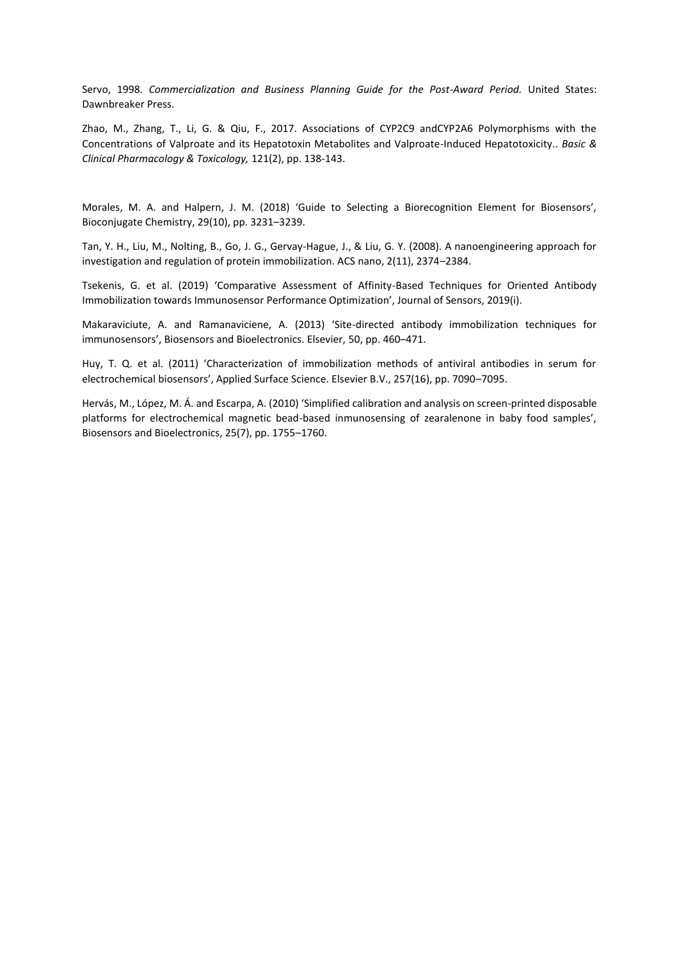Servo, 1998. *Commercialization and Business Planning Guide for the Post-Award Period.* United States: Dawnbreaker Press.

Zhao, M., Zhang, T., Li, G. & Qiu, F., 2017. Associations of CYP2C9 andCYP2A6 Polymorphisms with the Concentrations of Valproate and its Hepatotoxin Metabolites and Valproate-Induced Hepatotoxicity.. *Basic & Clinical Pharmacology & Toxicology,* 121(2), pp. 138-143.

Morales, M. A. and Halpern, J. M. (2018) 'Guide to Selecting a Biorecognition Element for Biosensors', Bioconjugate Chemistry, 29(10), pp. 3231–3239.

Tan, Y. H., Liu, M., Nolting, B., Go, J. G., Gervay-Hague, J., & Liu, G. Y. (2008). A nanoengineering approach for investigation and regulation of protein immobilization. ACS nano, 2(11), 2374–2384.

Tsekenis, G. et al. (2019) 'Comparative Assessment of Affinity-Based Techniques for Oriented Antibody Immobilization towards Immunosensor Performance Optimization', Journal of Sensors, 2019(i).

Makaraviciute, A. and Ramanaviciene, A. (2013) 'Site-directed antibody immobilization techniques for immunosensors', Biosensors and Bioelectronics. Elsevier, 50, pp. 460–471.

Huy, T. Q. et al. (2011) 'Characterization of immobilization methods of antiviral antibodies in serum for electrochemical biosensors', Applied Surface Science. Elsevier B.V., 257(16), pp. 7090–7095.

Hervás, M., López, M. Á. and Escarpa, A. (2010) 'Simplified calibration and analysis on screen-printed disposable platforms for electrochemical magnetic bead-based inmunosensing of zearalenone in baby food samples', Biosensors and Bioelectronics, 25(7), pp. 1755–1760.